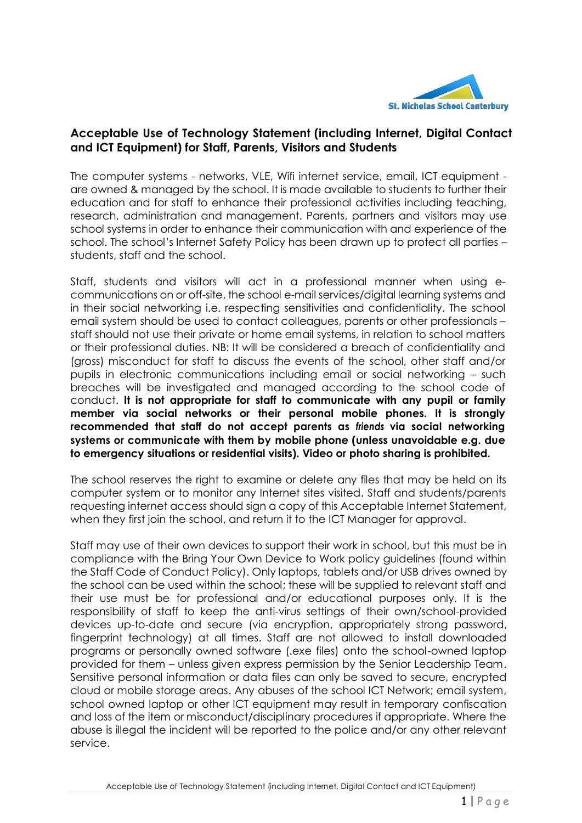

## **Acceptable Use of Technology Statement (including Internet, Digital Contact and ICT Equipment) for Staff, Parents, Visitors and Students**

The computer systems - networks, VLE, Wifi internet service, email, ICT equipment are owned & managed by the school. It is made available to students to further their education and for staff to enhance their professional activities including teaching, research, administration and management. Parents, partners and visitors may use school systems in order to enhance their communication with and experience of the school. The school's Internet Safety Policy has been drawn up to protect all parties – students, staff and the school.

Staff, students and visitors will act in a professional manner when using ecommunications on or off-site, the school e-mail services/digital learning systems and in their social networking i.e. respecting sensitivities and confidentiality. The school email system should be used to contact colleagues, parents or other professionals – staff should not use their private or home email systems, in relation to school matters or their professional duties. NB: It will be considered a breach of confidentiality and (gross) misconduct for staff to discuss the events of the school, other staff and/or pupils in electronic communications including email or social networking – such breaches will be investigated and managed according to the school code of conduct. **It is not appropriate for staff to communicate with any pupil or family member via social networks or their personal mobile phones. It is strongly recommended that staff do not accept parents as** *friends* **via social networking systems or communicate with them by mobile phone (unless unavoidable e.g. due to emergency situations or residential visits). Video or photo sharing is prohibited.**

The school reserves the right to examine or delete any files that may be held on its computer system or to monitor any Internet sites visited. Staff and students/parents requesting internet access should sign a copy of this Acceptable Internet Statement, when they first join the school, and return it to the ICT Manager for approval.

Staff may use of their own devices to support their work in school, but this must be in compliance with the Bring Your Own Device to Work policy guidelines (found within the Staff Code of Conduct Policy). Only laptops, tablets and/or USB drives owned by the school can be used within the school; these will be supplied to relevant staff and their use must be for professional and/or educational purposes only. It is the responsibility of staff to keep the anti-virus settings of their own/school-provided devices up-to-date and secure (via encryption, appropriately strong password, fingerprint technology) at all times. Staff are not allowed to install downloaded programs or personally owned software (.exe files) onto the school-owned laptop provided for them – unless given express permission by the Senior Leadership Team. Sensitive personal information or data files can only be saved to secure, encrypted cloud or mobile storage areas. Any abuses of the school ICT Network; email system, school owned laptop or other ICT equipment may result in temporary confiscation and loss of the item or misconduct/disciplinary procedures if appropriate. Where the abuse is illegal the incident will be reported to the police and/or any other relevant service.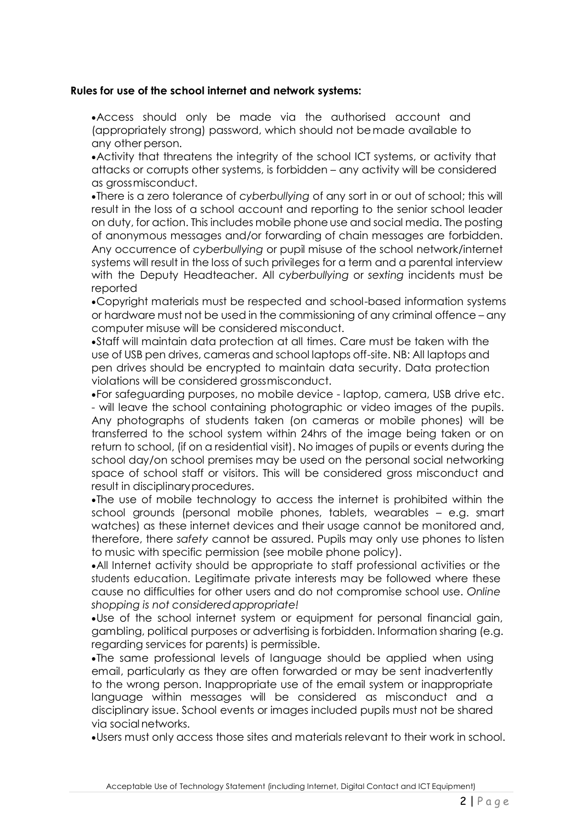## **Rules for use of the school internet and network systems:**

Access should only be made via the authorised account and (appropriately strong) password, which should not bemade available to any other person.

Activity that threatens the integrity of the school ICT systems, or activity that attacks or corrupts other systems, is forbidden – any activity will be considered as grossmisconduct.

There is a zero tolerance of *cyberbullying* of any sort in or out of school; this will result in the loss of a school account and reporting to the senior school leader on duty, for action. This includes mobile phone use and social media. The posting of anonymous messages and/or forwarding of chain messages are forbidden. Any occurrence of *cyberbullying* or pupil misuse of the school network/internet systems will result in the loss of such privileges for a term and a parental interview with the Deputy Headteacher. All *cyberbullying* or *sexting* incidents must be reported

Copyright materials must be respected and school-based information systems or hardware must not be used in the commissioning of any criminal offence – any computer misuse will be considered misconduct.

Staff will maintain data protection at all times. Care must be taken with the use of USB pen drives, cameras and school laptops off-site. NB: All laptops and pen drives should be encrypted to maintain data security. Data protection violations will be considered grossmisconduct.

For safeguarding purposes, no mobile device - laptop, camera, USB drive etc. - will leave the school containing photographic or video images of the pupils. Any photographs of students taken (on cameras or mobile phones) will be transferred to the school system within 24hrs of the image being taken or on return to school, (if on a residential visit). No images of pupils or events during the school day/on school premises may be used on the personal social networking space of school staff or visitors. This will be considered gross misconduct and result in disciplinaryprocedures.

The use of mobile technology to access the internet is prohibited within the school grounds (personal mobile phones, tablets, wearables – e.g. smart watches) as these internet devices and their usage cannot be monitored and, therefore, there *safety* cannot be assured. Pupils may only use phones to listen to music with specific permission (see mobile phone policy).

All Internet activity should be appropriate to staff professional activities or the students education. Legitimate private interests may be followed where these cause no difficulties for other users and do not compromise school use. *Online shopping is not consideredappropriate!*

Use of the school internet system or equipment for personal financial gain, gambling, political purposes or advertising is forbidden. Information sharing (e.g. regarding services for parents) is permissible.

The same professional levels of language should be applied when using email, particularly as they are often forwarded or may be sent inadvertently to the wrong person. Inappropriate use of the email system or inappropriate language within messages will be considered as misconduct and a disciplinary issue. School events or images included pupils must not be shared via socialnetworks.

Users must only access those sites and materials relevant to their work in school.